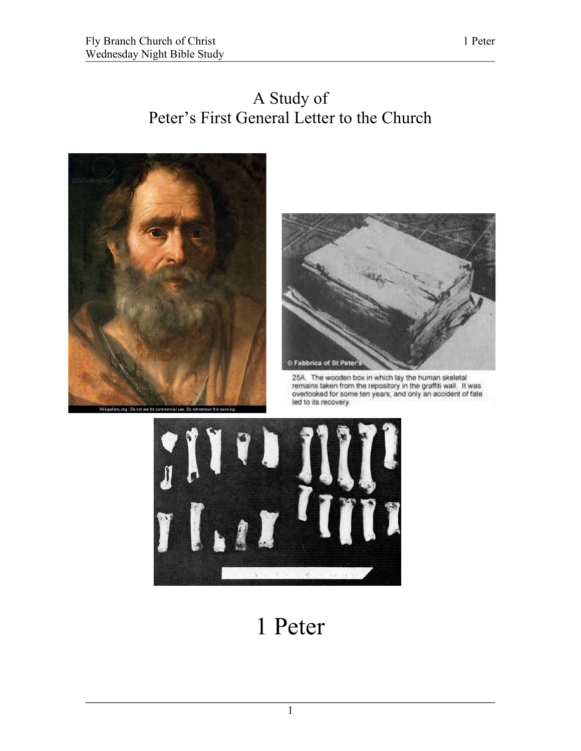



25A. The wooden box in which lay the human skeletal remains taken from the repository in the graffiti wall. It was overlooked for some ten years, and only an accident of fate led to its recovery.



## 1 Peter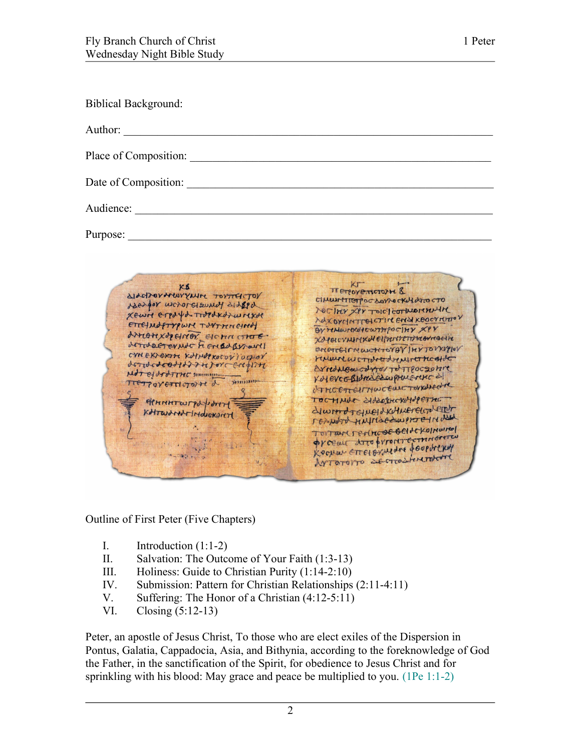| <b>Biblical Background:</b>                           |
|-------------------------------------------------------|
| Author:                                               |
| Place of Composition:                                 |
| Date of Composition:                                  |
| Audience:                                             |
| Purpose:                                              |
|                                                       |
| NETOYEMCTOPH &<br>ALASTORANEWYNING TOYTESTON<br>M(11) |

OC SOVIOCKLY OFTO Maxgor worordsound didged NOCTHY XPY TOIC COTTUARINAIR XEWN ETPDYD TOPOKOTWICKOR NOXOYMATTEICTING ENSIKEOCYMATOV ETTELMOFTYQWAY TONTHUCHNOT Or remainded to artifociny xpr AMONXOPHNOT EICHN CHOE. Xaporcympoxellareterriterreactive enerreinnactional VETON WALLOW AND HOUSE CYNEXIERTHE KOYNOPROCOVIOGIOV renuncio contrat drent contratto resigned and no entered por ArredNewcdard/TotTpoczonic Matel gept LHC simmon KNEVCERINGERWAMERENCE לככננות NETTOVETTICTOFTE d ATHCETTELTHWCELLCTOVKALECHE TOCHMUS SHORECKHUP ETHE APHAHTWTPdforty diwrot Guellkulmereuzheich KATWOMATIMOUGNONT respond trafication procted about TUTTAN TENNEBEBENCKOINOING Orcean Arto proprietermente Kocher ELLERANGLE Josephilas MIQLOLLO SE CITOTISMISSE

Outline of First Peter (Five Chapters)

- I. Introduction  $(1:1-2)$
- II. Salvation: The Outcome of Your Faith (1:3-13)
- III. Holiness: Guide to Christian Purity (1:14-2:10)
- IV. Submission: Pattern for Christian Relationships (2:11-4:11)
- V. Suffering: The Honor of a Christian (4:12-5:11)<br>VI. Closing (5:12-13)
- Closing  $(5:12-13)$

Peter, an apostle of Jesus Christ, To those who are elect exiles of the Dispersion in Pontus, Galatia, Cappadocia, Asia, and Bithynia, according to the foreknowledge of God the Father, in the sanctification of the Spirit, for obedience to Jesus Christ and for sprinkling with his blood: May grace and peace be multiplied to you. (1Pe 1:1-2)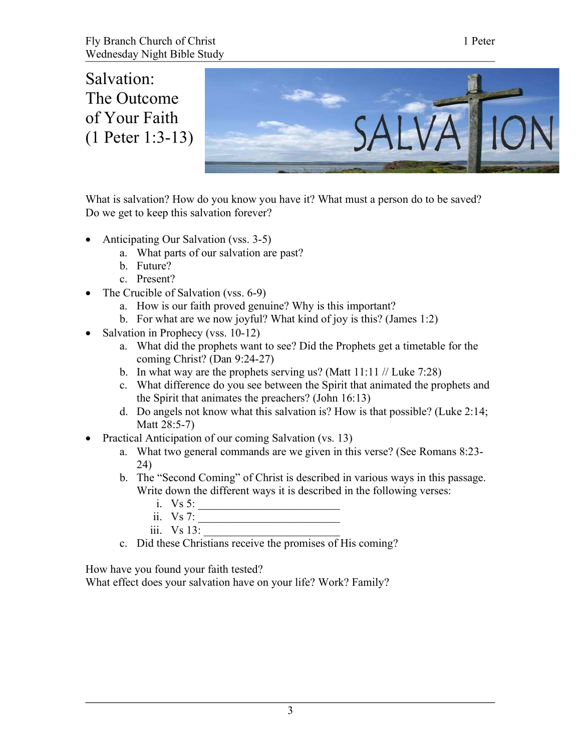Salvation: The Outcome of Your Faith (1 Peter 1:3-13)



What is salvation? How do you know you have it? What must a person do to be saved? Do we get to keep this salvation forever?

- Anticipating Our Salvation (vss. 3-5)
	- a. What parts of our salvation are past?
	- b. Future?
	- c. Present?
- The Crucible of Salvation (vss. 6-9)
	- a. How is our faith proved genuine? Why is this important?
	- b. For what are we now joyful? What kind of joy is this? (James 1:2)
- Salvation in Prophecy (vss. 10-12)
	- a. What did the prophets want to see? Did the Prophets get a timetable for the coming Christ? (Dan 9:24-27)
	- b. In what way are the prophets serving us? (Matt  $11:11$  // Luke 7:28)
	- c. What difference do you see between the Spirit that animated the prophets and the Spirit that animates the preachers? (John 16:13)
	- d. Do angels not know what this salvation is? How is that possible? (Luke 2:14; Matt 28:5-7)
- Practical Anticipation of our coming Salvation (vs. 13)
	- a. What two general commands are we given in this verse? (See Romans 8:23- 24)
	- b. The "Second Coming" of Christ is described in various ways in this passage. Write down the different ways it is described in the following verses:
		- i. Vs 5:
		- ii. Vs 7:
		- iii. Vs 13:
	- c. Did these Christians receive the promises of His coming?

How have you found your faith tested?

What effect does your salvation have on your life? Work? Family?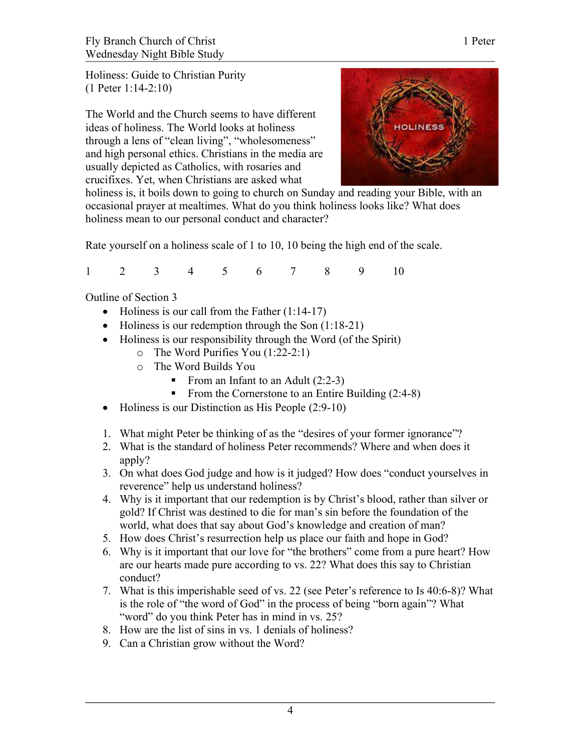Holiness: Guide to Christian Purity (1 Peter 1:14-2:10)

The World and the Church seems to have different ideas of holiness. The World looks at holiness through a lens of "clean living", "wholesomeness" and high personal ethics. Christians in the media are usually depicted as Catholics, with rosaries and crucifixes. Yet, when Christians are asked what



holiness is, it boils down to going to church on Sunday and reading your Bible, with an occasional prayer at mealtimes. What do you think holiness looks like? What does holiness mean to our personal conduct and character?

Rate yourself on a holiness scale of 1 to 10, 10 being the high end of the scale.

1 2 3 4 5 6 7 8 9 10

Outline of Section 3

- $\bullet$  Holiness is our call from the Father (1:14-17)
- $\bullet$  Holiness is our redemption through the Son (1:18-21)
- Holiness is our responsibility through the Word (of the Spirit)
	- o The Word Purifies You (1:22-2:1)
	- o The Word Builds You
		- From an Infant to an Adult  $(2:2-3)$
		- From the Cornerstone to an Entire Building  $(2:4-8)$
- Holiness is our Distinction as His People (2:9-10)
- 1. What might Peter be thinking of as the "desires of your former ignorance"?
- 2. What is the standard of holiness Peter recommends? Where and when does it apply?
- 3. On what does God judge and how is it judged? How does "conduct yourselves in reverence" help us understand holiness?
- 4. Why is it important that our redemption is by Christ's blood, rather than silver or gold? If Christ was destined to die for man's sin before the foundation of the world, what does that say about God's knowledge and creation of man?
- 5. How does Christ's resurrection help us place our faith and hope in God?
- 6. Why is it important that our love for "the brothers" come from a pure heart? How are our hearts made pure according to vs. 22? What does this say to Christian conduct?
- 7. What is this imperishable seed of vs. 22 (see Peter's reference to Is 40:6-8)? What is the role of "the word of God" in the process of being "born again"? What "word" do you think Peter has in mind in vs. 25?
- 8. How are the list of sins in vs. 1 denials of holiness?
- 9. Can a Christian grow without the Word?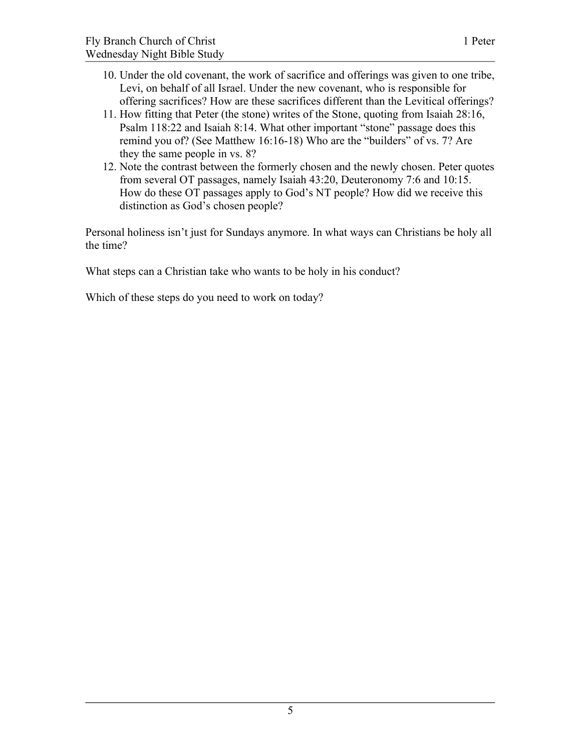- 10. Under the old covenant, the work of sacrifice and offerings was given to one tribe, Levi, on behalf of all Israel. Under the new covenant, who is responsible for offering sacrifices? How are these sacrifices different than the Levitical offerings?
- 11. How fitting that Peter (the stone) writes of the Stone, quoting from Isaiah 28:16, Psalm 118:22 and Isaiah 8:14. What other important "stone" passage does this remind you of? (See Matthew 16:16-18) Who are the "builders" of vs. 7? Are they the same people in vs. 8?
- 12. Note the contrast between the formerly chosen and the newly chosen. Peter quotes from several OT passages, namely Isaiah 43:20, Deuteronomy 7:6 and 10:15. How do these OT passages apply to God's NT people? How did we receive this distinction as God's chosen people?

Personal holiness isn't just for Sundays anymore. In what ways can Christians be holy all the time?

What steps can a Christian take who wants to be holy in his conduct?

Which of these steps do you need to work on today?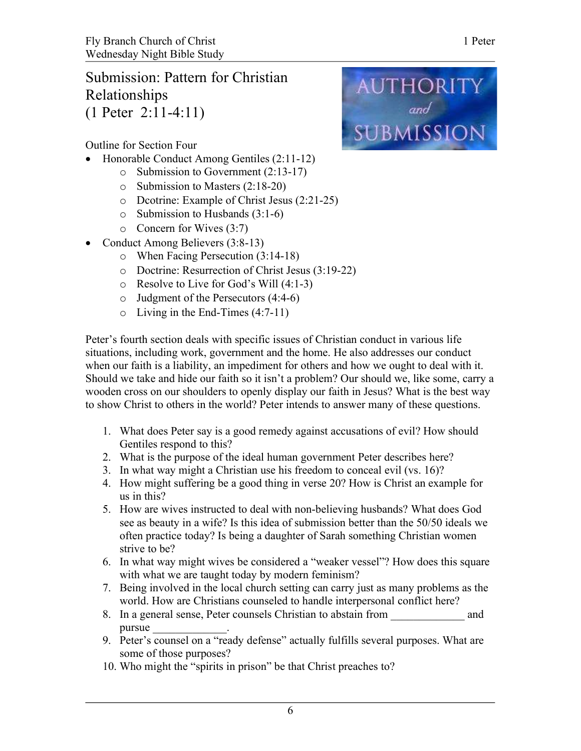## Submission: Pattern for Christian Relationships (1 Peter 2:11-4:11)

**AUTHORITY** and<br>SUBMISSION

Outline for Section Four

- Honorable Conduct Among Gentiles (2:11-12)
	- o Submission to Government (2:13-17)
	- o Submission to Masters (2:18-20)
	- o Dcotrine: Example of Christ Jesus (2:21-25)
	- o Submission to Husbands (3:1-6)
	- o Concern for Wives (3:7)
- Conduct Among Believers (3:8-13)
	- o When Facing Persecution (3:14-18)
	- o Doctrine: Resurrection of Christ Jesus (3:19-22)
	- o Resolve to Live for God's Will (4:1-3)
	- o Judgment of the Persecutors (4:4-6)
	- o Living in the End-Times (4:7-11)

Peter's fourth section deals with specific issues of Christian conduct in various life situations, including work, government and the home. He also addresses our conduct when our faith is a liability, an impediment for others and how we ought to deal with it. Should we take and hide our faith so it isn't a problem? Our should we, like some, carry a wooden cross on our shoulders to openly display our faith in Jesus? What is the best way to show Christ to others in the world? Peter intends to answer many of these questions.

- 1. What does Peter say is a good remedy against accusations of evil? How should Gentiles respond to this?
- 2. What is the purpose of the ideal human government Peter describes here?
- 3. In what way might a Christian use his freedom to conceal evil (vs. 16)?
- 4. How might suffering be a good thing in verse 20? How is Christ an example for us in this?
- 5. How are wives instructed to deal with non-believing husbands? What does God see as beauty in a wife? Is this idea of submission better than the 50/50 ideals we often practice today? Is being a daughter of Sarah something Christian women strive to be?
- 6. In what way might wives be considered a "weaker vessel"? How does this square with what we are taught today by modern feminism?
- 7. Being involved in the local church setting can carry just as many problems as the world. How are Christians counseled to handle interpersonal conflict here?
- 8. In a general sense, Peter counsels Christian to abstain from and pursue
- 9. Peter's counsel on a "ready defense" actually fulfills several purposes. What are some of those purposes?
- 10. Who might the "spirits in prison" be that Christ preaches to?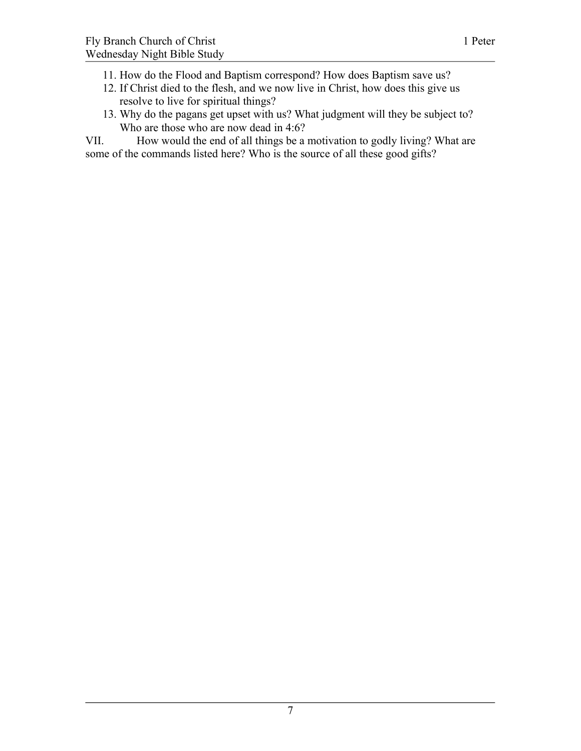- 11. How do the Flood and Baptism correspond? How does Baptism save us?
- 12. If Christ died to the flesh, and we now live in Christ, how does this give us resolve to live for spiritual things?
- 13. Why do the pagans get upset with us? What judgment will they be subject to? Who are those who are now dead in 4:6?

VII. How would the end of all things be a motivation to godly living? What are some of the commands listed here? Who is the source of all these good gifts?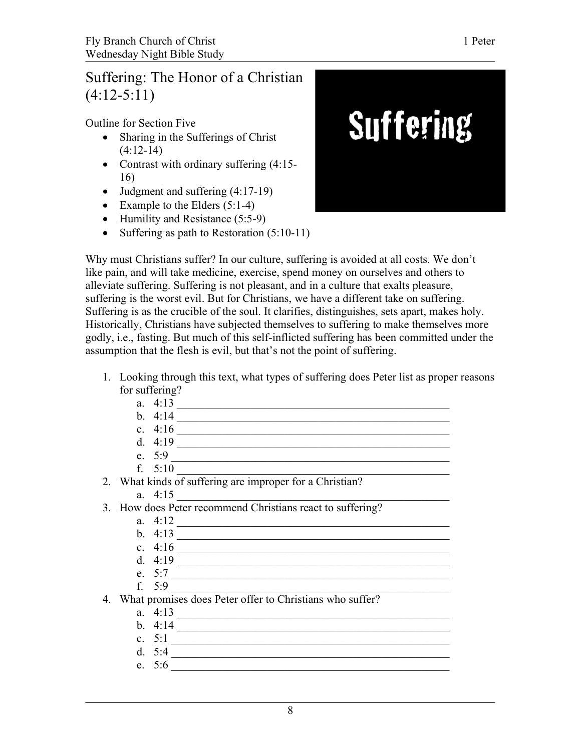## Suffering: The Honor of a Christian  $(4:12-5:11)$

Outline for Section Five

- Sharing in the Sufferings of Christ  $(4:12-14)$
- Contrast with ordinary suffering (4:15-16)
- $\bullet$  Judgment and suffering  $(4:17-19)$
- Example to the Elders  $(5:1-4)$
- Humility and Resistance (5:5-9)
- Suffering as path to Restoration  $(5:10-11)$



Why must Christians suffer? In our culture, suffering is avoided at all costs. We don't like pain, and will take medicine, exercise, spend money on ourselves and others to alleviate suffering. Suffering is not pleasant, and in a culture that exalts pleasure, suffering is the worst evil. But for Christians, we have a different take on suffering. Suffering is as the crucible of the soul. It clarifies, distinguishes, sets apart, makes holy. Historically, Christians have subjected themselves to suffering to make themselves more godly, i.e., fasting. But much of this self-inflicted suffering has been committed under the assumption that the flesh is evil, but that's not the point of suffering.

1. Looking through this text, what types of suffering does Peter list as proper reasons for suffering?

| a. | . .<br>. |  |
|----|----------|--|
| -- |          |  |

- b. 4:14 \_\_\_\_\_\_\_\_\_\_\_\_\_\_\_\_\_\_\_\_\_\_\_\_\_\_\_\_\_\_\_\_\_\_\_\_\_\_\_\_\_\_\_\_\_\_\_\_ c. 4:16 \_\_\_\_\_\_\_\_\_\_\_\_\_\_\_\_\_\_\_\_\_\_\_\_\_\_\_\_\_\_\_\_\_\_\_\_\_\_\_\_\_\_\_\_\_\_\_\_
- d.  $4:19$   $\overline{\phantom{a}}$
- e. 5:9 \_\_\_\_\_\_\_\_\_\_\_\_\_\_\_\_\_\_\_\_\_\_\_\_\_\_\_\_\_\_\_\_\_\_\_\_\_\_\_\_\_\_\_\_\_\_\_\_\_
- f. 5:10 \_\_\_\_\_\_\_\_\_\_\_\_\_\_\_\_\_\_\_\_\_\_\_\_\_\_\_\_\_\_\_\_\_\_\_\_\_\_\_\_\_\_\_\_\_\_\_\_
- 2. What kinds of suffering are improper for a Christian?
	- a. 4:15 \_\_\_\_\_\_\_\_\_\_\_\_\_\_\_\_\_\_\_\_\_\_\_\_\_\_\_\_\_\_\_\_\_\_\_\_\_\_\_\_\_\_\_\_\_\_\_\_
- 3. How does Peter recommend Christians react to suffering?
	- a.  $4:12$
	- b. 4:13 \_\_\_\_\_\_\_\_\_\_\_\_\_\_\_\_\_\_\_\_\_\_\_\_\_\_\_\_\_\_\_\_\_\_\_\_\_\_\_\_\_\_\_\_\_\_\_\_
	- c. 4:16 \_\_\_\_\_\_\_\_\_\_\_\_\_\_\_\_\_\_\_\_\_\_\_\_\_\_\_\_\_\_\_\_\_\_\_\_\_\_\_\_\_\_\_\_\_\_\_\_
	- d. 4:19 \_\_\_\_\_\_\_\_\_\_\_\_\_\_\_\_\_\_\_\_\_\_\_\_\_\_\_\_\_\_\_\_\_\_\_\_\_\_\_\_\_\_\_\_\_\_\_\_
	-
	- e. 5:7 \_\_\_\_\_\_\_\_\_\_\_\_\_\_\_\_\_\_\_\_\_\_\_\_\_\_\_\_\_\_\_\_\_\_\_\_\_\_\_\_\_\_\_\_\_\_\_\_\_
	- f.  $5:9$

4. What promises does Peter offer to Christians who suffer?

- a. 4:13 \_\_\_\_\_\_\_\_\_\_\_\_\_\_\_\_\_\_\_\_\_\_\_\_\_\_\_\_\_\_\_\_\_\_\_\_\_\_\_\_\_\_\_\_\_\_\_\_
- b. 4:14 \_\_\_\_\_\_\_\_\_\_\_\_\_\_\_\_\_\_\_\_\_\_\_\_\_\_\_\_\_\_\_\_\_\_\_\_\_\_\_\_\_\_\_\_\_\_\_\_
- c. 5:1 \_\_\_\_\_\_\_\_\_\_\_\_\_\_\_\_\_\_\_\_\_\_\_\_\_\_\_\_\_\_\_\_\_\_\_\_\_\_\_\_\_\_\_\_\_\_\_\_\_
- d.  $5:4$
- e. 5:6 \_\_\_\_\_\_\_\_\_\_\_\_\_\_\_\_\_\_\_\_\_\_\_\_\_\_\_\_\_\_\_\_\_\_\_\_\_\_\_\_\_\_\_\_\_\_\_\_\_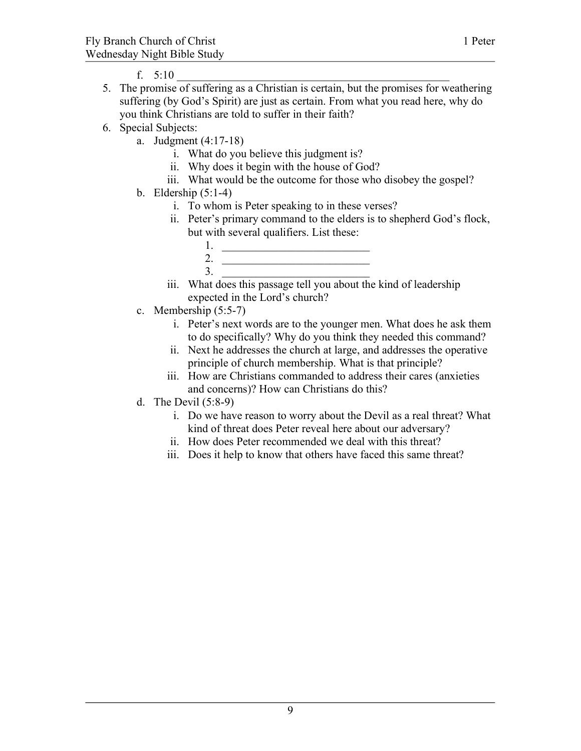- f. 5:10 \_\_\_\_\_\_\_\_\_\_\_\_\_\_\_\_\_\_\_\_\_\_\_\_\_\_\_\_\_\_\_\_\_\_\_\_\_\_\_\_\_\_\_\_\_\_\_\_
- 5. The promise of suffering as a Christian is certain, but the promises for weathering suffering (by God's Spirit) are just as certain. From what you read here, why do you think Christians are told to suffer in their faith?
- 6. Special Subjects:
	- a. Judgment (4:17-18)
		- i. What do you believe this judgment is?
		- ii. Why does it begin with the house of God?
		- iii. What would be the outcome for those who disobey the gospel?
	- b. Eldership (5:1-4)
		- i. To whom is Peter speaking to in these verses?
		- ii. Peter's primary command to the elders is to shepherd God's flock, but with several qualifiers. List these:
			- 1. \_\_\_\_\_\_\_\_\_\_\_\_\_\_\_\_\_\_\_\_\_\_\_\_\_\_ 2.  $\frac{1}{\sqrt{1-\frac{1}{2}}\sqrt{1-\frac{1}{2}}\sqrt{1-\frac{1}{2}}\sqrt{1-\frac{1}{2}}\sqrt{1-\frac{1}{2}}\sqrt{1-\frac{1}{2}}\sqrt{1-\frac{1}{2}}\sqrt{1-\frac{1}{2}}\sqrt{1-\frac{1}{2}}\sqrt{1-\frac{1}{2}}\sqrt{1-\frac{1}{2}}\sqrt{1-\frac{1}{2}}\sqrt{1-\frac{1}{2}}\sqrt{1-\frac{1}{2}}\sqrt{1-\frac{1}{2}}\sqrt{1-\frac{1}{2}}\sqrt{1-\frac{1}{2}}\sqrt{1-\frac{1}{2}}\sqrt{1-\frac{1}{2}}\sqrt{$  $3.$   $\frac{1}{\sqrt{1-\frac{1}{2-\frac{1}{2-\frac{1}{2-\frac{1}{2-\frac{1}{2-\frac{1}{2-\frac{1}{2-\frac{1}{2-\frac{1}{2-\frac{1}{2-\frac{1}{2-\frac{1}{2-\frac{1}{2-\frac{1}{2-\frac{1}{2-\frac{1}{2-\frac{1}{2-\frac{1}{2-\frac{1}{2-\frac{1}{2-\frac{1}{2-\frac{1}{2-\frac{1}{2-\frac{1}{2-\frac{1}{2-\frac{1}{2-\frac{1}{2-\frac{1}{2-\frac{1}{2-\frac{1}{2-\frac{1}{2-\frac{1}{2-\frac{1}{2-\frac{1}{2-\frac$
		- iii. What does this passage tell you about the kind of leadership expected in the Lord's church?
	- c. Membership (5:5-7)
		- i. Peter's next words are to the younger men. What does he ask them to do specifically? Why do you think they needed this command?
		- ii. Next he addresses the church at large, and addresses the operative principle of church membership. What is that principle?
		- iii. How are Christians commanded to address their cares (anxieties and concerns)? How can Christians do this?
	- d. The Devil (5:8-9)
		- i. Do we have reason to worry about the Devil as a real threat? What kind of threat does Peter reveal here about our adversary?
		- ii. How does Peter recommended we deal with this threat?
		- iii. Does it help to know that others have faced this same threat?